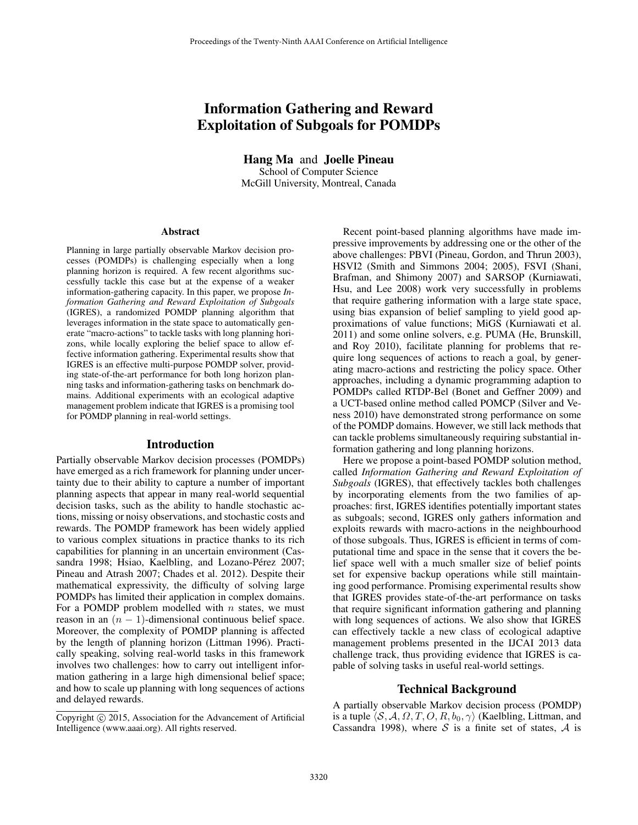# Information Gathering and Reward Exploitation of Subgoals for POMDPs

Hang Ma and Joelle Pineau School of Computer Science McGill University, Montreal, Canada

#### Abstract

Planning in large partially observable Markov decision processes (POMDPs) is challenging especially when a long planning horizon is required. A few recent algorithms successfully tackle this case but at the expense of a weaker information-gathering capacity. In this paper, we propose *Information Gathering and Reward Exploitation of Subgoals* (IGRES), a randomized POMDP planning algorithm that leverages information in the state space to automatically generate "macro-actions" to tackle tasks with long planning horizons, while locally exploring the belief space to allow effective information gathering. Experimental results show that IGRES is an effective multi-purpose POMDP solver, providing state-of-the-art performance for both long horizon planning tasks and information-gathering tasks on benchmark domains. Additional experiments with an ecological adaptive management problem indicate that IGRES is a promising tool for POMDP planning in real-world settings.

#### Introduction

Partially observable Markov decision processes (POMDPs) have emerged as a rich framework for planning under uncertainty due to their ability to capture a number of important planning aspects that appear in many real-world sequential decision tasks, such as the ability to handle stochastic actions, missing or noisy observations, and stochastic costs and rewards. The POMDP framework has been widely applied to various complex situations in practice thanks to its rich capabilities for planning in an uncertain environment (Cassandra 1998; Hsiao, Kaelbling, and Lozano-Pérez 2007; Pineau and Atrash 2007; Chades et al. 2012). Despite their mathematical expressivity, the difficulty of solving large POMDPs has limited their application in complex domains. For a POMDP problem modelled with *n* states, we must reason in an  $(n - 1)$ -dimensional continuous belief space. Moreover, the complexity of POMDP planning is affected by the length of planning horizon (Littman 1996). Practically speaking, solving real-world tasks in this framework involves two challenges: how to carry out intelligent information gathering in a large high dimensional belief space; and how to scale up planning with long sequences of actions and delayed rewards.

Recent point-based planning algorithms have made impressive improvements by addressing one or the other of the above challenges: PBVI (Pineau, Gordon, and Thrun 2003), HSVI2 (Smith and Simmons 2004; 2005), FSVI (Shani, Brafman, and Shimony 2007) and SARSOP (Kurniawati, Hsu, and Lee 2008) work very successfully in problems that require gathering information with a large state space, using bias expansion of belief sampling to yield good approximations of value functions; MiGS (Kurniawati et al. 2011) and some online solvers, e.g. PUMA (He, Brunskill, and Roy 2010), facilitate planning for problems that require long sequences of actions to reach a goal, by generating macro-actions and restricting the policy space. Other approaches, including a dynamic programming adaption to POMDPs called RTDP-Bel (Bonet and Geffner 2009) and a UCT-based online method called POMCP (Silver and Veness 2010) have demonstrated strong performance on some of the POMDP domains. However, we still lack methods that can tackle problems simultaneously requiring substantial information gathering and long planning horizons.

Here we propose a point-based POMDP solution method, called *Information Gathering and Reward Exploitation of Subgoals* (IGRES), that effectively tackles both challenges by incorporating elements from the two families of approaches: first, IGRES identifies potentially important states as subgoals; second, IGRES only gathers information and exploits rewards with macro-actions in the neighbourhood of those subgoals. Thus, IGRES is efficient in terms of computational time and space in the sense that it covers the belief space well with a much smaller size of belief points set for expensive backup operations while still maintaining good performance. Promising experimental results show that IGRES provides state-of-the-art performance on tasks that require significant information gathering and planning with long sequences of actions. We also show that IGRES can effectively tackle a new class of ecological adaptive management problems presented in the IJCAI 2013 data challenge track, thus providing evidence that IGRES is capable of solving tasks in useful real-world settings.

# Technical Background

A partially observable Markov decision process (POMDP) is a tuple  $\langle \mathcal{S}, \mathcal{A}, \Omega, T, O, R, b_0, \gamma \rangle$  (Kaelbling, Littman, and Cassandra 1998), where *S* is a finite set of states, *A* is

Copyright  $\odot$  2015, Association for the Advancement of Artificial Intelligence (www.aaai.org). All rights reserved.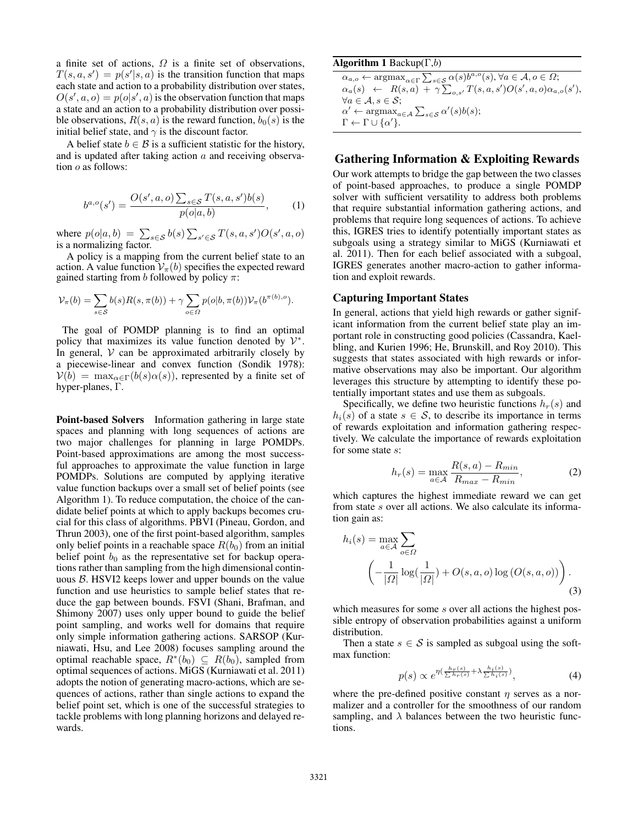a finite set of actions,  $\Omega$  is a finite set of observations,  $T(s, a, s') = p(s'|s, a)$  is the transition function that maps each state and action to a probability distribution over states,  $O(s', a, o) = p(o|s', a)$  is the observation function that maps a state and an action to a probability distribution over possible observations,  $R(s, a)$  is the reward function,  $b_0(s)$  is the initial belief state, and  $\gamma$  is the discount factor.

A belief state  $b \in \mathcal{B}$  is a sufficient statistic for the history, and is updated after taking action *a* and receiving observation *o* as follows:

$$
b^{a,o}(s') = \frac{O(s',a,o) \sum_{s \in S} T(s,a,s')b(s)}{p(o|a,b)},
$$
 (1)

where  $p(o|a, b) = \sum_{s \in S} b(s) \sum_{s' \in S} T(s, a, s')O(s', a, o)$ is a normalizing factor.

A policy is a mapping from the current belief state to an action. A value function  $V_\pi(b)$  specifies the expected reward gained starting from *b* followed by policy  $\pi$ :

$$
\mathcal{V}_{\pi}(b) = \sum_{s \in \mathcal{S}} b(s)R(s, \pi(b)) + \gamma \sum_{o \in \Omega} p(o|b, \pi(b))\mathcal{V}_{\pi}(b^{\pi(b), o}).
$$

The goal of POMDP planning is to find an optimal policy that maximizes its value function denoted by  $V^*$ . In general,  $V$  can be approximated arbitrarily closely by a piecewise-linear and convex function (Sondik 1978):  $V(b) = \max_{\alpha \in \Gamma} (b(s)\alpha(s))$ , represented by a finite set of hyper-planes,  $\Gamma$ .

Point-based Solvers Information gathering in large state spaces and planning with long sequences of actions are two major challenges for planning in large POMDPs. Point-based approximations are among the most successful approaches to approximate the value function in large POMDPs. Solutions are computed by applying iterative value function backups over a small set of belief points (see Algorithm 1). To reduce computation, the choice of the candidate belief points at which to apply backups becomes crucial for this class of algorithms. PBVI (Pineau, Gordon, and Thrun 2003), one of the first point-based algorithm, samples only belief points in a reachable space  $R(b_0)$  from an initial belief point  $b_0$  as the representative set for backup operations rather than sampling from the high dimensional continuous *B*. HSVI2 keeps lower and upper bounds on the value function and use heuristics to sample belief states that reduce the gap between bounds. FSVI (Shani, Brafman, and Shimony 2007) uses only upper bound to guide the belief point sampling, and works well for domains that require only simple information gathering actions. SARSOP (Kurniawati, Hsu, and Lee 2008) focuses sampling around the optimal reachable space,  $R^*(b_0) \subseteq R(b_0)$ , sampled from optimal sequences of actions. MiGS (Kurniawati et al. 2011) adopts the notion of generating macro-actions, which are sequences of actions, rather than single actions to expand the belief point set, which is one of the successful strategies to tackle problems with long planning horizons and delayed rewards.

# Algorithm 1 Backup $(\Gamma,b)$

 $\alpha_{a,o} \leftarrow \arg\!\max_{\alpha \in \Gamma} \sum_{s \in \mathcal{S}} \alpha(s) b^{a,o}(s), \forall a \in \mathcal{A}, o \in \Omega;$  $\alpha_a(s) \leftarrow R(s, a) + \gamma \sum_{o, s'} T(s, a, s') O(s', a, o) \alpha_{a, o}(s'),$  $\forall a \in \mathcal{A}, s \in \mathcal{S}$ ;  $\alpha' \leftarrow \operatorname{argmax}_{a \in \mathcal{A}} \sum_{s \in \mathcal{S}} \alpha'(s)b(s);$  $\Gamma \leftarrow \Gamma \cup \{\alpha'\}.$ 

# Gathering Information & Exploiting Rewards

Our work attempts to bridge the gap between the two classes of point-based approaches, to produce a single POMDP solver with sufficient versatility to address both problems that require substantial information gathering actions, and problems that require long sequences of actions. To achieve this, IGRES tries to identify potentially important states as subgoals using a strategy similar to MiGS (Kurniawati et al. 2011). Then for each belief associated with a subgoal, IGRES generates another macro-action to gather information and exploit rewards.

#### Capturing Important States

In general, actions that yield high rewards or gather significant information from the current belief state play an important role in constructing good policies (Cassandra, Kaelbling, and Kurien 1996; He, Brunskill, and Roy 2010). This suggests that states associated with high rewards or informative observations may also be important. Our algorithm leverages this structure by attempting to identify these potentially important states and use them as subgoals.

Specifically, we define two heuristic functions  $h_r(s)$  and  $h_i(s)$  of a state  $s \in S$ , to describe its importance in terms of rewards exploitation and information gathering respectively. We calculate the importance of rewards exploitation for some state *s*:

$$
h_r(s) = \max_{a \in \mathcal{A}} \frac{R(s, a) - R_{min}}{R_{max} - R_{min}},
$$
 (2)

which captures the highest immediate reward we can get from state *s* over all actions. We also calculate its information gain as:

$$
h_i(s) = \max_{a \in \mathcal{A}} \sum_{o \in \Omega} \left( -\frac{1}{|\Omega|} \log\left(\frac{1}{|\Omega|}\right) + O(s, a, o) \log\left(O(s, a, o)\right) \right).
$$
\n(3)

which measures for some *s* over all actions the highest possible entropy of observation probabilities against a uniform distribution.

Then a state  $s \in S$  is sampled as subgoal using the softmax function:

$$
p(s) \propto e^{\eta(\frac{h_r(s)}{\sum h_r(s)} + \lambda \frac{h_i(s)}{\sum h_i(s)})},\tag{4}
$$

where the pre-defined positive constant  $\eta$  serves as a normalizer and a controller for the smoothness of our random sampling, and  $\lambda$  balances between the two heuristic functions.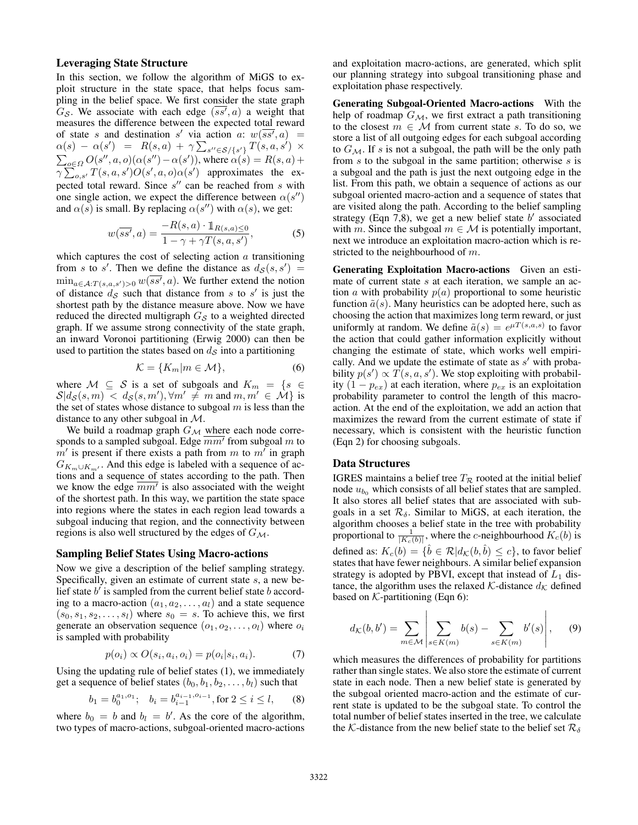## Leveraging State Structure

In this section, we follow the algorithm of MiGS to exploit structure in the state space, that helps focus sampling in the belief space. We first consider the state graph  $G_S$ . We associate with each edge  $(ss', a)$  a weight that measures the difference between the expected total reward of state *s* and destination *s'* via action *a*:  $w(ss', a)$  =  $\alpha(s) - \alpha(s') = R(s, a) + \gamma \sum_{s'' \in S / \{s'\}} T(s, a, s') \times$  $\sum_{o \in \Omega} O(s'', a, o)(\alpha(s'') - \alpha(s'))$ , where  $\alpha(s) = R(s, a) +$  $\sqrt{\sum_{o,s'} T(s, a, s')O(s', a, o)\alpha(s')}$  approximates the expected total reward. Since  $s''$  can be reached from  $s$  with one single action, we expect the difference between  $\alpha(s'')$ and  $\alpha(s)$  is small. By replacing  $\alpha(s'')$  with  $\alpha(s)$ , we get:

$$
w(\overline{ss'}, a) = \frac{-R(s, a) \cdot \mathbb{1}_{R(s, a) \le 0}}{1 - \gamma + \gamma T(s, a, s')},
$$
(5)

which captures the cost of selecting action *a* transitioning from *s* to *s'*. Then we define the distance as  $d_S(s, s') =$  $\min_{a \in A: T(s, a, s') > 0} w(ss', a)$ . We further extend the notion of distance  $d<sub>S</sub>$  such that distance from *s* to *s'* is just the shortest path by the distance measure above. Now we have reduced the directed multigraph *G<sup>S</sup>* to a weighted directed graph. If we assume strong connectivity of the state graph, an inward Voronoi partitioning (Erwig 2000) can then be used to partition the states based on *d<sup>S</sup>* into a partitioning

$$
\mathcal{K} = \{K_m | m \in \mathcal{M}\},\tag{6}
$$

where  $M \subseteq S$  is a set of subgoals and  $K_m = \{s \in S\}$  $S|d_S(s, m) < d_S(s, m'), \forall m' \neq m \text{ and } m, m' \in \mathcal{M} \}$  is the set of states whose distance to subgoal *m* is less than the distance to any other subgoal in *M*.

We build a roadmap graph  $G_M$  where each node corresponds to a sampled subgoal. Edge  $\overline{mm'}$  from subgoal m to  $m'$  is present if there exists a path from *m* to  $m'$  in graph  $G_{K_m \cup K_{m'}}$ . And this edge is labeled with a sequence of actions and a sequence of states according to the path. Then we know the edge  $\overline{mm'}$  is also associated with the weight of the shortest path. In this way, we partition the state space into regions where the states in each region lead towards a subgoal inducing that region, and the connectivity between regions is also well structured by the edges of *GM*.

#### Sampling Belief States Using Macro-actions

Now we give a description of the belief sampling strategy. Specifically, given an estimate of current state *s*, a new belief state  $b'$  is sampled from the current belief state  $b$  according to a macro-action  $(a_1, a_2, \ldots, a_l)$  and a state sequence  $(s_0, s_1, s_2, \ldots, s_l)$  where  $s_0 = s$ . To achieve this, we first generate an observation sequence  $(o_1, o_2, \ldots, o_l)$  where  $o_i$ is sampled with probability

$$
p(o_i) \propto O(s_i, a_i, o_i) = p(o_i|s_i, a_i). \tag{7}
$$

Using the updating rule of belief states (1), we immediately get a sequence of belief states  $(b_0, b_1, b_2, \ldots, b_l)$  such that

$$
b_1 = b_0^{a_1, o_1};
$$
  $b_i = b_{i-1}^{a_{i-1}, o_{i-1}},$  for  $2 \le i \le l,$  (8)

where  $b_0 = b$  and  $b_l = b'$ . As the core of the algorithm, two types of macro-actions, subgoal-oriented macro-actions

and exploitation macro-actions, are generated, which split our planning strategy into subgoal transitioning phase and exploitation phase respectively.

Generating Subgoal-Oriented Macro-actions With the help of roadmap *GM*, we first extract a path transitioning to the closest  $m \in \mathcal{M}$  from current state *s*. To do so, we store a list of all outgoing edges for each subgoal according to  $G_{\mathcal{M}}$ . If *s* is not a subgoal, the path will be the only path from *s* to the subgoal in the same partition; otherwise *s* is a subgoal and the path is just the next outgoing edge in the list. From this path, we obtain a sequence of actions as our subgoal oriented macro-action and a sequence of states that are visited along the path. According to the belief sampling strategy (Eqn 7,8), we get a new belief state  $b'$  associated with *m*. Since the subgoal  $m \in \mathcal{M}$  is potentially important, next we introduce an exploitation macro-action which is restricted to the neighbourhood of *m*.

Generating Exploitation Macro-actions Given an estimate of current state *s* at each iteration, we sample an action *a* with probability  $p(a)$  proportional to some heuristic function  $\tilde{a}(s)$ . Many heuristics can be adopted here, such as choosing the action that maximizes long term reward, or just uniformly at random. We define  $\tilde{a}(s) = e^{\mu T(s,a,s)}$  to favor the action that could gather information explicitly without changing the estimate of state, which works well empirically. And we update the estimate of state as *s'* with probability  $p(s') \propto T(s, a, s')$ . We stop exploiting with probability  $(1 - p_{ex})$  at each iteration, where  $p_{ex}$  is an exploitation probability parameter to control the length of this macroaction. At the end of the exploitation, we add an action that maximizes the reward from the current estimate of state if necessary, which is consistent with the heuristic function (Eqn 2) for choosing subgoals.

#### Data Structures

IGRES maintains a belief tree  $T_R$  rooted at the initial belief node  $u_{b_0}$  which consists of all belief states that are sampled. It also stores all belief states that are associated with subgoals in a set  $\mathcal{R}_{\delta}$ . Similar to MiGS, at each iteration, the algorithm chooses a belief state in the tree with probability proportional to  $\frac{1}{|K_c(b)|}$ , where the *c*-neighbourhood  $K_c(b)$  is defined as:  $K_c(b) = \{b \in \mathcal{R} | d_{\mathcal{K}}(b, b) \leq c\}$ , to favor belief states that have fewer neighbours. A similar belief expansion strategy is adopted by PBVI, except that instead of  $L_1$  distance, the algorithm uses the relaxed  $K$ -distance  $d_K$  defined based on  $K$ -partitioning (Eqn 6):

$$
d_{\mathcal{K}}(b,b') = \sum_{m \in \mathcal{M}} \left| \sum_{s \in K(m)} b(s) - \sum_{s \in K(m)} b'(s) \right|, \quad (9)
$$

 $\overline{1}$ 

 $\overline{1}$ 

which measures the differences of probability for partitions rather than single states. We also store the estimate of current state in each node. Then a new belief state is generated by the subgoal oriented macro-action and the estimate of current state is updated to be the subgoal state. To control the total number of belief states inserted in the tree, we calculate the *K*-distance from the new belief state to the belief set  $\mathcal{R}_{\delta}$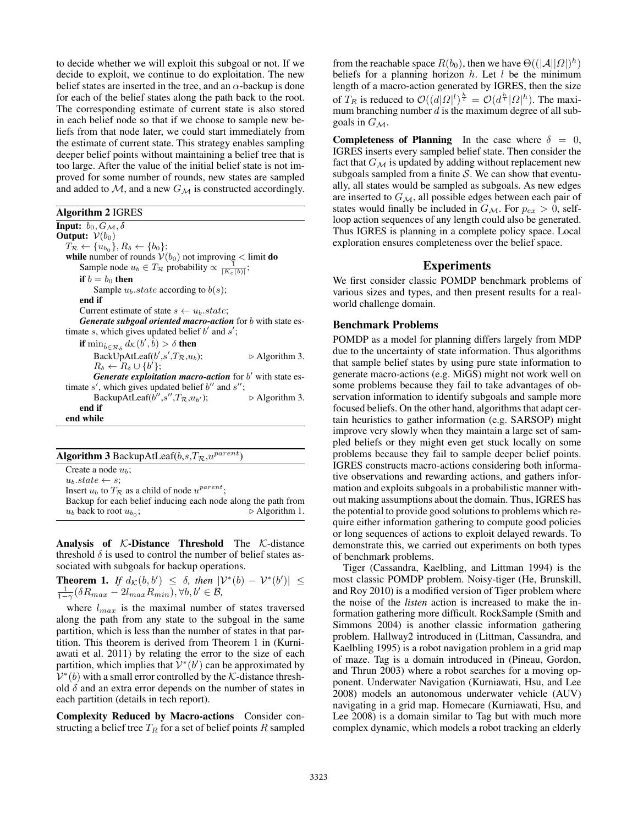to decide whether we will exploit this subgoal or not. If we decide to exploit, we continue to do exploitation. The new belief states are inserted in the tree, and an  $\alpha$ -backup is done for each of the belief states along the path back to the root. The corresponding estimate of current state is also stored in each belief node so that if we choose to sample new beliefs from that node later, we could start immediately from the estimate of current state. This strategy enables sampling deeper belief points without maintaining a belief tree that is too large. After the value of the initial belief state is not improved for some number of rounds, new states are sampled and added to  $M$ , and a new  $G_M$  is constructed accordingly.

Algorithm 2 IGRES

**Input:**  $b_0, G_\mathcal{M}, \delta$ Output:  $V(b_0)$  $T_R \leftarrow \{u_{b_0}\}, R_\delta \leftarrow \{b_0\};$ **while** number of rounds  $V(b_0)$  not improving  $\lt$  limit **do** Sample node  $u_b \in T_{\mathcal{R}}$  probability  $\propto \frac{1}{|K_c(b)|}$ ; if  $b = b_0$  then Sample  $u_b$ *.state* according to  $b(s)$ ; end if Current estimate of state  $s \leftarrow u_b.state;$ *Generate subgoal oriented macro-action* for *b* with state estimate  $s$ , which gives updated belief  $b'$  and  $s'$ ; if  $\min_{\hat{b}\in\mathcal{R}_{\delta}}d_{\mathcal{K}}(b',\hat{b}) > \delta$  then BackUpAtLeaf(*b'*,*s'* ,*TR*,*ub*); . Algorithm 3.  $R_{\delta} \leftarrow R_{\delta} \cup \{b'\};$ *Generate exploitation macro-action* for *b'* with state estimate  $s'$ , which gives updated belief  $b''$  and  $s''$ ; BackupAtLeaf( $b^{\prime\prime}, s^{\prime\prime}, T_{\mathcal{R}}, u_{b}$ );  $\triangleright$  Algorithm 3. end if end while

| <b>Algorithm 3</b> BackupAtLeaf( $b,s,T_{\mathcal{R}},u^{parent}$ ) |                               |
|---------------------------------------------------------------------|-------------------------------|
| Create a node $u_h$ ;                                               |                               |
| $u_b.state \leftarrow s$ ;                                          |                               |
| Insert $u_b$ to $T_R$ as a child of node $u^{parent}$ ;             |                               |
| Backup for each belief inducing each node along the path from       |                               |
| $u_b$ back to root $u_{b_0}$ ;                                      | $\triangleright$ Algorithm 1. |
|                                                                     |                               |

Analysis of *K*-Distance Threshold The *K*-distance threshold  $\delta$  is used to control the number of belief states associated with subgoals for backup operations.

**Theorem 1.** If 
$$
d_K(b, b') \leq \delta
$$
, then  $|\mathcal{V}^*(b) - \mathcal{V}^*(b')| \leq \frac{1}{1-\gamma}(\delta R_{max} - 2l_{max}R_{min}), \forall b, b' \in \mathcal{B}$ ,

where *lmax* is the maximal number of states traversed along the path from any state to the subgoal in the same partition, which is less than the number of states in that partition. This theorem is derived from Theorem 1 in (Kurniawati et al. 2011) by relating the error to the size of each partition, which implies that  $V^*(b')$  can be approximated by  $V^*(b)$  with a small error controlled by the *K*-distance threshold  $\delta$  and an extra error depends on the number of states in each partition (details in tech report).

Complexity Reduced by Macro-actions Consider constructing a belief tree *T<sup>R</sup>* for a set of belief points *R* sampled

from the reachable space  $R(b_0)$ , then we have  $\Theta((|\mathcal{A}||\Omega|)^h)$ beliefs for a planning horizon *h*. Let *l* be the minimum length of a macro-action generated by IGRES, then the size of  $T_R$  is reduced to  $\mathcal{O}((d|\Omega|^l)^{\frac{h}{l}}) = \mathcal{O}(d^{\frac{h}{l}}|\Omega|^h)$ . The maximum branching number *d* is the maximum degree of all subgoals in  $G_M$ .

**Completeness of Planning** In the case where  $\delta = 0$ , IGRES inserts every sampled belief state. Then consider the fact that  $G_{\mathcal{M}}$  is updated by adding without replacement new subgoals sampled from a finite *S*. We can show that eventually, all states would be sampled as subgoals. As new edges are inserted to *GM*, all possible edges between each pair of states would finally be included in  $G_{\mathcal{M}}$ . For  $p_{ex} > 0$ , selfloop action sequences of any length could also be generated. Thus IGRES is planning in a complete policy space. Local exploration ensures completeness over the belief space.

## Experiments

We first consider classic POMDP benchmark problems of various sizes and types, and then present results for a realworld challenge domain.

#### Benchmark Problems

POMDP as a model for planning differs largely from MDP due to the uncertainty of state information. Thus algorithms that sample belief states by using pure state information to generate macro-actions (e.g. MiGS) might not work well on some problems because they fail to take advantages of observation information to identify subgoals and sample more focused beliefs. On the other hand, algorithms that adapt certain heuristics to gather information (e.g. SARSOP) might improve very slowly when they maintain a large set of sampled beliefs or they might even get stuck locally on some problems because they fail to sample deeper belief points. IGRES constructs macro-actions considering both informative observations and rewarding actions, and gathers information and exploits subgoals in a probabilistic manner without making assumptions about the domain. Thus, IGRES has the potential to provide good solutions to problems which require either information gathering to compute good policies or long sequences of actions to exploit delayed rewards. To demonstrate this, we carried out experiments on both types of benchmark problems.

Tiger (Cassandra, Kaelbling, and Littman 1994) is the most classic POMDP problem. Noisy-tiger (He, Brunskill, and Roy 2010) is a modified version of Tiger problem where the noise of the *listen* action is increased to make the information gathering more difficult. RockSample (Smith and Simmons 2004) is another classic information gathering problem. Hallway2 introduced in (Littman, Cassandra, and Kaelbling 1995) is a robot navigation problem in a grid map of maze. Tag is a domain introduced in (Pineau, Gordon, and Thrun 2003) where a robot searches for a moving opponent. Underwater Navigation (Kurniawati, Hsu, and Lee 2008) models an autonomous underwater vehicle (AUV) navigating in a grid map. Homecare (Kurniawati, Hsu, and Lee 2008) is a domain similar to Tag but with much more complex dynamic, which models a robot tracking an elderly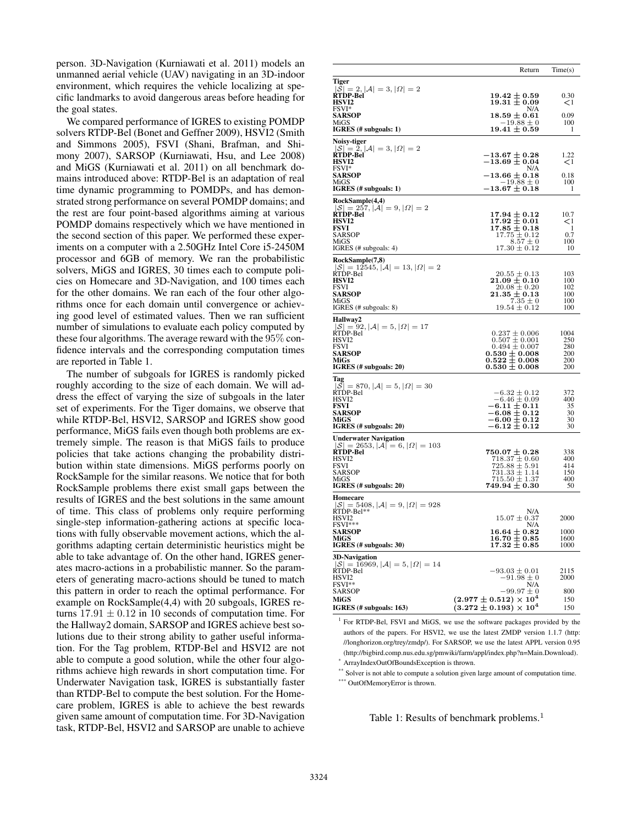person. 3D-Navigation (Kurniawati et al. 2011) models an unmanned aerial vehicle (UAV) navigating in an 3D-indoor environment, which requires the vehicle localizing at specific landmarks to avoid dangerous areas before heading for the goal states.

We compared performance of IGRES to existing POMDP solvers RTDP-Bel (Bonet and Geffner 2009), HSVI2 (Smith and Simmons 2005), FSVI (Shani, Brafman, and Shimony 2007), SARSOP (Kurniawati, Hsu, and Lee 2008) and MiGS (Kurniawati et al. 2011) on all benchmark domains introduced above: RTDP-Bel is an adaptation of real time dynamic programming to POMDPs, and has demonstrated strong performance on several POMDP domains; and the rest are four point-based algorithms aiming at various POMDP domains respectively which we have mentioned in the second section of this paper. We performed these experiments on a computer with a 2.50GHz Intel Core i5-2450M processor and 6GB of memory. We ran the probabilistic solvers, MiGS and IGRES, 30 times each to compute policies on Homecare and 3D-Navigation, and 100 times each for the other domains. We ran each of the four other algorithms once for each domain until convergence or achieving good level of estimated values. Then we ran sufficient number of simulations to evaluate each policy computed by these four algorithms. The average reward with the 95% confidence intervals and the corresponding computation times are reported in Table 1.

The number of subgoals for IGRES is randomly picked roughly according to the size of each domain. We will address the effect of varying the size of subgoals in the later set of experiments. For the Tiger domains, we observe that while RTDP-Bel, HSVI2, SARSOP and IGRES show good performance, MiGS fails even though both problems are extremely simple. The reason is that MiGS fails to produce policies that take actions changing the probability distribution within state dimensions. MiGS performs poorly on RockSample for the similar reasons. We notice that for both RockSample problems there exist small gaps between the results of IGRES and the best solutions in the same amount of time. This class of problems only require performing single-step information-gathering actions at specific locations with fully observable movement actions, which the algorithms adapting certain deterministic heuristics might be able to take advantage of. On the other hand, IGRES generates macro-actions in a probabilistic manner. So the parameters of generating macro-actions should be tuned to match this pattern in order to reach the optimal performance. For example on RockSample(4,4) with 20 subgoals, IGRES returns  $17.91 \pm 0.12$  in 10 seconds of computation time. For the Hallway2 domain, SARSOP and IGRES achieve best solutions due to their strong ability to gather useful information. For the Tag problem, RTDP-Bel and HSVI2 are not able to compute a good solution, while the other four algorithms achieve high rewards in short computation time. For Underwater Navigation task, IGRES is substantially faster than RTDP-Bel to compute the best solution. For the Homecare problem, IGRES is able to achieve the best rewards given same amount of computation time. For 3D-Navigation task, RTDP-Bel, HSVI2 and SARSOP are unable to achieve

|                                                                              | Return                                                                 | Time(s)          |
|------------------------------------------------------------------------------|------------------------------------------------------------------------|------------------|
| Tiger                                                                        |                                                                        |                  |
| $ S  = 2,  \mathcal{A}  = 3,  \Omega  = 2$<br>RTDP-Bel<br>HSVI2              | $19.42 \pm 0.59$<br>$19.31\pm0.09$                                     | 0.30<br>$\leq$ 1 |
| FSVI*<br><b>SARSOP</b>                                                       | N/A<br>$18.59 \pm 0.61$                                                | 0.09             |
| MiGS<br>IGRES (# subgoals: 1)                                                | $-19.88 \pm 0$<br>$19.41 \pm 0.59$                                     | 100<br>1         |
| Noisy-tiger                                                                  |                                                                        |                  |
| $ S  = 2,  \mathcal{A}  = 3,  \Omega  = 2$<br>RTDP-Bel<br><b>HSVI2</b>       | $-13.67\pm0.28$<br>$-13.69\pm0.04$                                     | 1.22<br>$\leq$ 1 |
| FSVI*<br><b>SARSOP</b>                                                       | N/A<br>$-13.66\pm0.18$                                                 | 0.18             |
| MiGS<br>IGRES (# subgoals: 1)                                                | $-19.88 \pm 0$<br>-13.67 $\pm$ 0.18                                    | 100<br>1         |
| RockSample(4,4)                                                              |                                                                        |                  |
| $ \mathcal{S}  = 257,  \mathcal{A}  = 9,  \Omega  = 2$                       |                                                                        |                  |
| RTDP-Bel<br><b>HSVI2</b>                                                     | $17.94 \pm 0.12$<br>$17.92 \pm 0.01$                                   | 10.7<br>$\leq$ 1 |
| FSVI<br>SARSOP                                                               | $17.85 \pm 0.18$<br>$17.75 \pm 0.12$                                   | -1<br>0.7        |
| MiGS                                                                         | $8.57 \pm 0$                                                           | 100              |
| IGRES (# subgoals: 4)                                                        | $17.30 \pm 0.12$                                                       | 10               |
| RockSample(7,8)<br>$ \mathcal{S}  = 12545,  \mathcal{A}  = 13,  \Omega  = 2$ |                                                                        |                  |
| RTDP-Bel                                                                     | $20.55 \pm 0.13$                                                       | 103              |
| HSVI2<br><b>FSVI</b>                                                         | $21.09\pm0.10$<br>$20.08 \pm 0.20$                                     | 100<br>102       |
| <b>SARSOP</b>                                                                | $\boldsymbol{21.35 \pm 0.13}$<br>$7.35 \pm 0$                          | 100              |
| MiGS<br>IGRES (# subgoals: 8)                                                | $19.54 \pm 0.12$                                                       | 100<br>100       |
| <b>Hallway2</b>                                                              |                                                                        |                  |
| $ \mathcal{S}  = 92,  \mathcal{A}  = 5,  \Omega  = 17$<br>RTDP-Bel           | $0.237 \pm 0.006$                                                      | 1004             |
| HSVI2                                                                        | $0.507 \pm 0.001$                                                      | 250              |
| FSVI<br><b>SARSOP</b>                                                        | $0.494 \pm 0.007$                                                      | 280<br>200       |
| MiGs                                                                         | $\begin{array}{c} 0.530 \pm 0.008 \\ 0.522 \pm 0.008 \end{array}$      | 200              |
| IGRES (# subgoals: 20)                                                       | $0.530 \pm 0.008$                                                      | 200              |
| Tag<br>$ \mathcal{S}  = 870,  \mathcal{A}  = 5,  \Omega  = 30$               |                                                                        |                  |
| RTDP-Bel<br>HSVI2                                                            | $-6.32 \pm 0.12$<br>$-6.46 \pm 0.09$                                   | 372<br>400       |
| FSVI                                                                         | -6.11 $\pm$ 0.11                                                       | 35               |
| <b>SARSOP</b><br>MiGS                                                        | -6.08 $\pm$ 0.12<br>$-6.00\pm0.12$                                     | 30<br>30         |
| IGRES (# subgoals: 20)                                                       | -6.12 $\pm$ 0.12                                                       | 30               |
| <b>Underwater Navigation</b>                                                 |                                                                        |                  |
| $ \mathcal{S}  = 2653,  \mathcal{A}  = 6,  \Omega  = 103$<br>RTDP-Bel        | $750.07\pm0.28$                                                        | 338              |
| HSVI2<br>FSVI                                                                | $718.37 \pm 0.60$<br>$725.88 \pm 5.91$                                 | 400<br>414       |
| SARSOP                                                                       | $731.33 \pm 1.14$                                                      | 150              |
| MiGS<br>IGRES (# subgoals: 20)                                               | $715.50 \pm 1.37$<br>$749.94\pm0.30$                                   | 400<br>50        |
| Homecare                                                                     |                                                                        |                  |
| $ {\cal S}  = 5408,  {\cal A}  = 9,  \Omega  = 928$                          |                                                                        |                  |
| RTDP-Bel**<br>HSVI2                                                          | N/A<br>$15.07 \pm 0.37$                                                | 2000             |
| FSVI***<br>SARSOP                                                            | N/A<br>$\rm 16.64 \pm 0.82$                                            |                  |
| MiGS                                                                         | $16.70\pm0.85$                                                         | 1000<br>1600     |
| IGRES (# subgoals: 30)                                                       | $17.32 \pm 0.85$                                                       | 1000             |
| <b>3D-Navigation</b><br>$ {\cal S}  = 16969,  {\cal A}  = 5,  \Omega  = 14$  |                                                                        |                  |
| RTDP-Bel                                                                     | $-93.03\pm0.01$                                                        | 2115             |
| HSVI2<br>FSVI**                                                              | $-91.98 \pm 0$<br>N/A                                                  | 2000             |
| SARSOP                                                                       | $-99.97 \pm 0$                                                         | 800              |
| MiGS<br>IGRES (# subgoals: 163)                                              | $(2.977 \pm 0.512) \times 10^{4}$<br>$(3.272 \pm 0.193) \times 10^{4}$ | 150<br>150       |
|                                                                              |                                                                        |                  |

 $1$  For RTDP-Bel, FSVI and MiGS, we use the software packages provided by the authors of the papers. For HSVI2, we use the latest ZMDP version 1.1.7 (http: //longhorizon.org/trey/zmdp/). For SARSOP, we use the latest APPL version 0.95 (http://bigbird.comp.nus.edu.sg/pmwiki/farm/appl/index.php?n=Main.Download). \* ArrayIndexOutOfBoundsException is thrown.

\*\* Solver is not able to compute a solution given large amount of computation time. \*\*\* OutOfMemoryError is thrown.

Table 1: Results of benchmark problems.<sup>1</sup>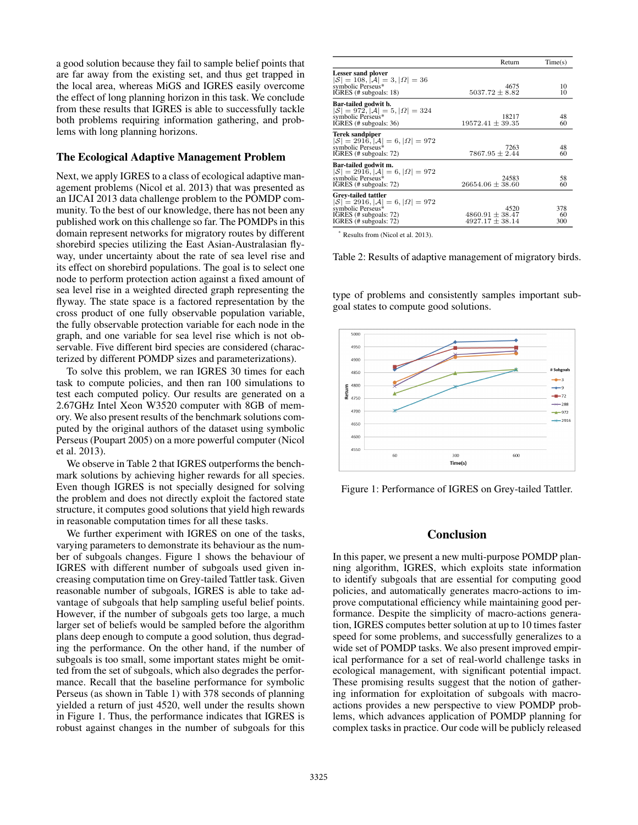a good solution because they fail to sample belief points that are far away from the existing set, and thus get trapped in the local area, whereas MiGS and IGRES easily overcome the effect of long planning horizon in this task. We conclude from these results that IGRES is able to successfully tackle both problems requiring information gathering, and problems with long planning horizons.

# The Ecological Adaptive Management Problem

Next, we apply IGRES to a class of ecological adaptive management problems (Nicol et al. 2013) that was presented as an IJCAI 2013 data challenge problem to the POMDP community. To the best of our knowledge, there has not been any published work on this challenge so far. The POMDPs in this domain represent networks for migratory routes by different shorebird species utilizing the East Asian-Australasian flyway, under uncertainty about the rate of sea level rise and its effect on shorebird populations. The goal is to select one node to perform protection action against a fixed amount of sea level rise in a weighted directed graph representing the flyway. The state space is a factored representation by the cross product of one fully observable population variable, the fully observable protection variable for each node in the graph, and one variable for sea level rise which is not observable. Five different bird species are considered (characterized by different POMDP sizes and parameterizations).

To solve this problem, we ran IGRES 30 times for each task to compute policies, and then ran 100 simulations to test each computed policy. Our results are generated on a 2.67GHz Intel Xeon W3520 computer with 8GB of memory. We also present results of the benchmark solutions computed by the original authors of the dataset using symbolic Perseus (Poupart 2005) on a more powerful computer (Nicol et al. 2013).

We observe in Table 2 that IGRES outperforms the benchmark solutions by achieving higher rewards for all species. Even though IGRES is not specially designed for solving the problem and does not directly exploit the factored state structure, it computes good solutions that yield high rewards in reasonable computation times for all these tasks.

We further experiment with IGRES on one of the tasks, varying parameters to demonstrate its behaviour as the number of subgoals changes. Figure 1 shows the behaviour of IGRES with different number of subgoals used given increasing computation time on Grey-tailed Tattler task. Given reasonable number of subgoals, IGRES is able to take advantage of subgoals that help sampling useful belief points. However, if the number of subgoals gets too large, a much larger set of beliefs would be sampled before the algorithm plans deep enough to compute a good solution, thus degrading the performance. On the other hand, if the number of subgoals is too small, some important states might be omitted from the set of subgoals, which also degrades the performance. Recall that the baseline performance for symbolic Perseus (as shown in Table 1) with 378 seconds of planning yielded a return of just 4520, well under the results shown in Figure 1. Thus, the performance indicates that IGRES is robust against changes in the number of subgoals for this

|                                                                                                                                                           | Return                                             | Time(s)          |
|-----------------------------------------------------------------------------------------------------------------------------------------------------------|----------------------------------------------------|------------------|
| Lesser sand plover<br>$ \mathcal{S}  = 108,  \mathcal{A}  = 3,  \Omega  = 36$<br>symbolic Perseus*<br>IGRES (# subgoals: 18)                              | 4675<br>$5037.72 \pm 8.82$                         | 10<br>10         |
| Bar-tailed godwit b.<br>$ \mathcal{S}  = 972,  \mathcal{A}  = 5,  \Omega  = 324$<br>symbolic Perseus*<br>IGRES (# subgoals: 36)                           | 18217<br>$19572.41 \pm 39.35$                      | 48<br>60         |
| Terek sandpiper<br>$ \mathcal{S}  = 291\hat{6}$ , $ \mathcal{A}  = 6$ , $ \Omega  = 972$<br>symbolic Perseus*<br>IGRES (# subgoals: 72)                   | 7263<br>$7867.95 \pm 2.44$                         | 48<br>60         |
| Bar-tailed godwit m.<br>$ \mathcal{S}  = 291\overline{6},  \mathcal{A}  = 6,  \Omega  = 972$<br>symbolic Perseus*<br>IGRES (# subgoals: 72)               | 24583<br>$26654.06 \pm 38.60$                      | 58<br>60         |
| Grey-tailed tattler<br>$ \mathcal{S}  = 2916,  \mathcal{A}  = 6,  \Omega  = 972$<br>symbolic Perseus*<br>IGRES (# subgoals: 72)<br>IGRES (# subgoals: 72) | 4520<br>$4860.91 \pm 38.47$<br>$4927.17 \pm 38.14$ | 378<br>60<br>300 |

\* Results from (Nicol et al. 2013).

Table 2: Results of adaptive management of migratory birds.

type of problems and consistently samples important subgoal states to compute good solutions.



Figure 1: Performance of IGRES on Grey-tailed Tattler.

# Conclusion

In this paper, we present a new multi-purpose POMDP planning algorithm, IGRES, which exploits state information to identify subgoals that are essential for computing good policies, and automatically generates macro-actions to improve computational efficiency while maintaining good performance. Despite the simplicity of macro-actions generation, IGRES computes better solution at up to 10 times faster speed for some problems, and successfully generalizes to a wide set of POMDP tasks. We also present improved empirical performance for a set of real-world challenge tasks in ecological management, with significant potential impact. These promising results suggest that the notion of gathering information for exploitation of subgoals with macroactions provides a new perspective to view POMDP problems, which advances application of POMDP planning for complex tasks in practice. Our code will be publicly released